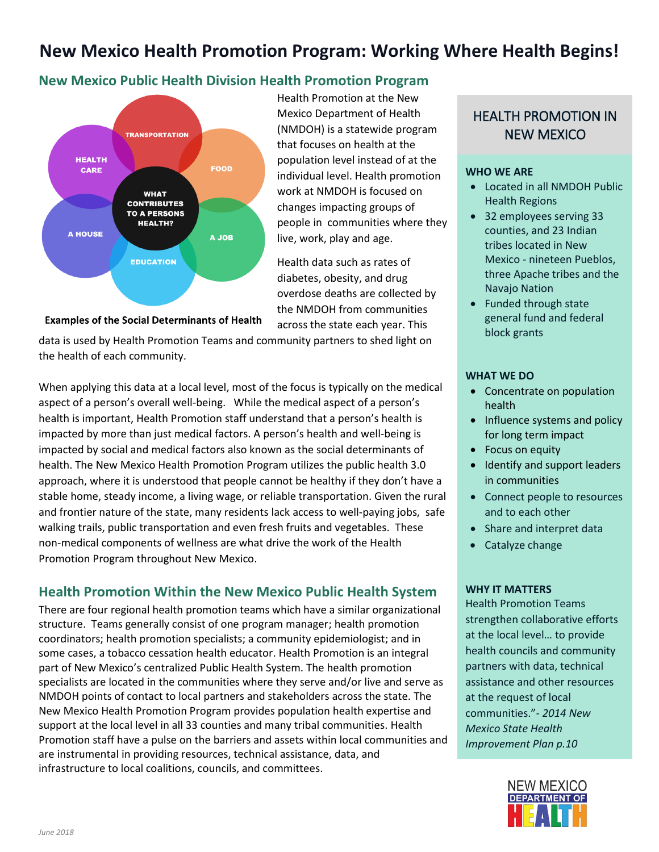# **New Mexico Health Promotion Program: Working Where Health Begins!**

# **New Mexico Public Health Division Health Promotion Program**



Health Promotion at the New Mexico Department of Health (NMDOH) is a statewide program that focuses on health at the population level instead of at the individual level. Health promotion work at NMDOH is focused on changes impacting groups of people in communities where they live, work, play and age.

Health data such as rates of diabetes, obesity, and drug overdose deaths are collected by the NMDOH from communities across the state each year. This

**Examples of the Social Determinants of Health** 

data is used by Health Promotion Teams and community partners to shed light on the health of each community.

When applying this data at a local level, most of the focus is typically on the medical aspect of a person's overall well-being. While the medical aspect of a person's health is important, Health Promotion staff understand that a person's health is impacted by more than just medical factors. A person's health and well-being is impacted by social and medical factors also known as the social determinants of health. The New Mexico Health Promotion Program utilizes the public health 3.0 approach, where it is understood that people cannot be healthy if they don't have a stable home, steady income, a living wage, or reliable transportation. Given the rural and frontier nature of the state, many residents lack access to well-paying jobs, safe walking trails, public transportation and even fresh fruits and vegetables. These non-medical components of wellness are what drive the work of the Health Promotion Program throughout New Mexico.

# **Health Promotion Within the New Mexico Public Health System**

There are four regional health promotion teams which have a similar organizational structure. Teams generally consist of one program manager; health promotion coordinators; health promotion specialists; a community epidemiologist; and in some cases, a tobacco cessation health educator. Health Promotion is an integral part of New Mexico's centralized Public Health System. The health promotion specialists are located in the communities where they serve and/or live and serve as NMDOH points of contact to local partners and stakeholders across the state. The New Mexico Health Promotion Program provides population health expertise and support at the local level in all 33 counties and many tribal communities. Health Promotion staff have a pulse on the barriers and assets within local communities and are instrumental in providing resources, technical assistance, data, and infrastructure to local coalitions, councils, and committees.

# HEALTH PROMOTION IN NEW MEXICO

#### **WHO WE ARE**

- Located in all NMDOH Public Health Regions
- 32 employees serving 33 counties, and 23 Indian tribes located in New Mexico - nineteen Pueblos, three Apache tribes and the Navajo Nation
- Funded through state general fund and federal block grants

#### **WHAT WE DO**

- Concentrate on population health
- Influence systems and policy for long term impact
- Focus on equity
- Identify and support leaders in communities
- Connect people to resources and to each other
- Share and interpret data
- Catalyze change

#### **WHY IT MATTERS**

Health Promotion Teams strengthen collaborative efforts at the local level… to provide health councils and community partners with data, technical assistance and other resources at the request of local communities."- *2014 New Mexico State Health Improvement Plan p.10*